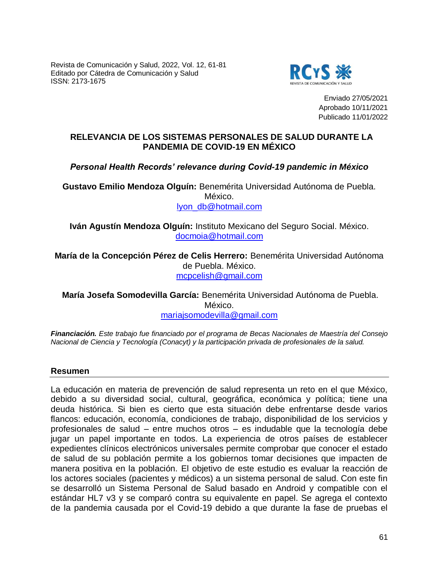Revista de Comunicación y Salud, 2022, Vol. 12, 61-81 Editado por Cátedra de Comunicación y Salud ISSN: 2173-1675



Enviado 27/05/2021 Aprobado 10/11/2021 Publicado 11/01/2022

# **RELEVANCIA DE LOS SISTEMAS PERSONALES DE SALUD DURANTE LA PANDEMIA DE COVID-19 EN MÉXICO**

# *Personal Health Records' relevance during Covid-19 pandemic in México*

**Gustavo Emilio Mendoza Olguín:** Benemérita Universidad Autónoma de Puebla. México. [lyon\\_db@hotmail.com](mailto:lyon_db@hotmail.com)

**Iván Agustín Mendoza Olguín:** Instituto Mexicano del Seguro Social. México. [docmoia@hotmail.com](mailto:docmoia@hotmail.com)

**María de la Concepción Pérez de Celis Herrero:** Benemérita Universidad Autónoma de Puebla. México. [mcpcelish@gmail.com](mailto:mcpcelish@gmail.com)

**María Josefa Somodevilla García:** Benemérita Universidad Autónoma de Puebla. México. [mariajsomodevilla@gmail.com](mailto:mariajsomodevilla@gmail.com)

*Financiación. Este trabajo fue financiado por el programa de Becas Nacionales de Maestría del Consejo Nacional de Ciencia y Tecnología (Conacyt) y la participación privada de profesionales de la salud.* 

#### **Resumen**

La educación en materia de prevención de salud representa un reto en el que México, debido a su diversidad social, cultural, geográfica, económica y política; tiene una deuda histórica. Si bien es cierto que esta situación debe enfrentarse desde varios flancos: educación, economía, condiciones de trabajo, disponibilidad de los servicios y profesionales de salud – entre muchos otros – es indudable que la tecnología debe jugar un papel importante en todos. La experiencia de otros países de establecer expedientes clínicos electrónicos universales permite comprobar que conocer el estado de salud de su población permite a los gobiernos tomar decisiones que impacten de manera positiva en la población. El objetivo de este estudio es evaluar la reacción de los actores sociales (pacientes y médicos) a un sistema personal de salud. Con este fin se desarrolló un Sistema Personal de Salud basado en Android y compatible con el estándar HL7 v3 y se comparó contra su equivalente en papel. Se agrega el contexto de la pandemia causada por el Covid-19 debido a que durante la fase de pruebas el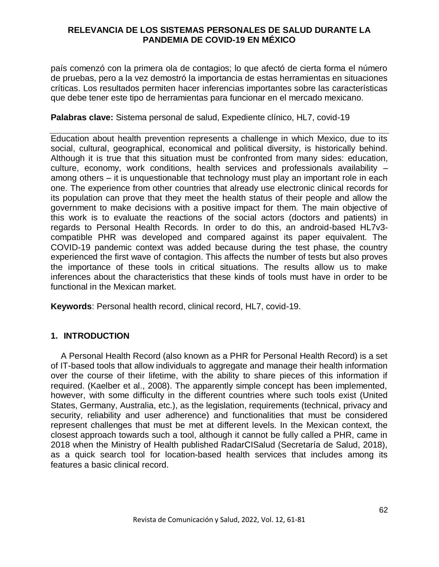país comenzó con la primera ola de contagios; lo que afectó de cierta forma el número de pruebas, pero a la vez demostró la importancia de estas herramientas en situaciones críticas. Los resultados permiten hacer inferencias importantes sobre las características que debe tener este tipo de herramientas para funcionar en el mercado mexicano.

# **Palabras clave:** Sistema personal de salud, Expediente clínico, HL7, covid-19

Education about health prevention represents a challenge in which Mexico, due to its social, cultural, geographical, economical and political diversity, is historically behind. Although it is true that this situation must be confronted from many sides: education, culture, economy, work conditions, health services and professionals availability – among others – it is unquestionable that technology must play an important role in each one. The experience from other countries that already use electronic clinical records for its population can prove that they meet the health status of their people and allow the government to make decisions with a positive impact for them. The main objective of this work is to evaluate the reactions of the social actors (doctors and patients) in regards to Personal Health Records. In order to do this, an android-based HL7v3 compatible PHR was developed and compared against its paper equivalent. The COVID-19 pandemic context was added because during the test phase, the country experienced the first wave of contagion. This affects the number of tests but also proves the importance of these tools in critical situations. The results allow us to make inferences about the characteristics that these kinds of tools must have in order to be functional in the Mexican market.

**Keywords**: Personal health record, clinical record, HL7, covid-19.

# **1. INTRODUCTION**

A Personal Health Record (also known as a PHR for Personal Health Record) is a set of IT-based tools that allow individuals to aggregate and manage their health information over the course of their lifetime, with the ability to share pieces of this information if required. (Kaelber et al., 2008). The apparently simple concept has been implemented, however, with some difficulty in the different countries where such tools exist (United States, Germany, Australia, etc.), as the legislation, requirements (technical, privacy and security, reliability and user adherence) and functionalities that must be considered represent challenges that must be met at different levels. In the Mexican context, the closest approach towards such a tool, although it cannot be fully called a PHR, came in 2018 when the Ministry of Health published RadarCISalud (Secretaría de Salud, 2018), as a quick search tool for location-based health services that includes among its features a basic clinical record.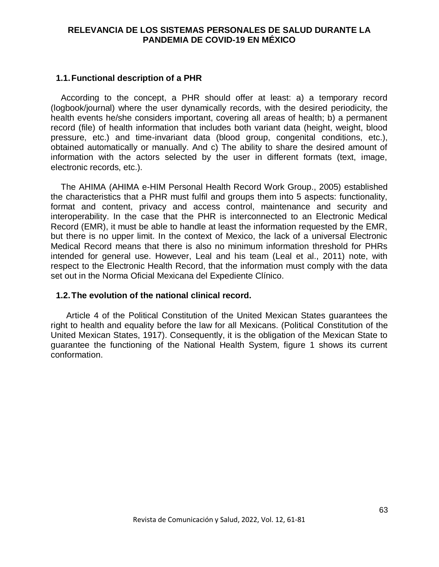# **1.1.Functional description of a PHR**

According to the concept, a PHR should offer at least: a) a temporary record (logbook/journal) where the user dynamically records, with the desired periodicity, the health events he/she considers important, covering all areas of health; b) a permanent record (file) of health information that includes both variant data (height, weight, blood pressure, etc.) and time-invariant data (blood group, congenital conditions, etc.), obtained automatically or manually. And c) The ability to share the desired amount of information with the actors selected by the user in different formats (text, image, electronic records, etc.).

The AHIMA (AHIMA e-HIM Personal Health Record Work Group., 2005) established the characteristics that a PHR must fulfil and groups them into 5 aspects: functionality, format and content, privacy and access control, maintenance and security and interoperability. In the case that the PHR is interconnected to an Electronic Medical Record (EMR), it must be able to handle at least the information requested by the EMR, but there is no upper limit. In the context of Mexico, the lack of a universal Electronic Medical Record means that there is also no minimum information threshold for PHRs intended for general use. However, Leal and his team (Leal et al., 2011) note, with respect to the Electronic Health Record, that the information must comply with the data set out in the Norma Oficial Mexicana del Expediente Clínico.

# **1.2.The evolution of the national clinical record.**

Article 4 of the Political Constitution of the United Mexican States guarantees the right to health and equality before the law for all Mexicans. (Political Constitution of the United Mexican States, 1917). Consequently, it is the obligation of the Mexican State to guarantee the functioning of the National Health System, figure 1 shows its current conformation.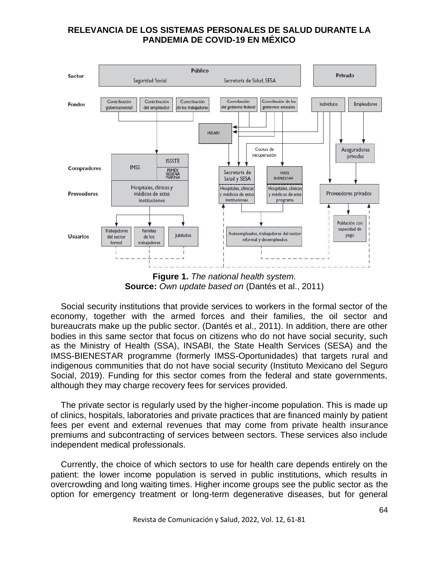

**Figure 1.** *The national health system.* **Source:** *Own update based on* (Dantés et al., 2011)

Social security institutions that provide services to workers in the formal sector of the economy, together with the armed forces and their families, the oil sector and bureaucrats make up the public sector. (Dantés et al., 2011). In addition, there are other bodies in this same sector that focus on citizens who do not have social security, such as the Ministry of Health (SSA), INSABI, the State Health Services (SESA) and the IMSS-BIENESTAR programme (formerly IMSS-Oportunidades) that targets rural and indigenous communities that do not have social security (Instituto Mexicano del Seguro Social, 2019). Funding for this sector comes from the federal and state governments, although they may charge recovery fees for services provided.

The private sector is regularly used by the higher-income population. This is made up of clinics, hospitals, laboratories and private practices that are financed mainly by patient fees per event and external revenues that may come from private health insurance premiums and subcontracting of services between sectors. These services also include independent medical professionals.

Currently, the choice of which sectors to use for health care depends entirely on the patient: the lower income population is served in public institutions, which results in overcrowding and long waiting times. Higher income groups see the public sector as the option for emergency treatment or long-term degenerative diseases, but for general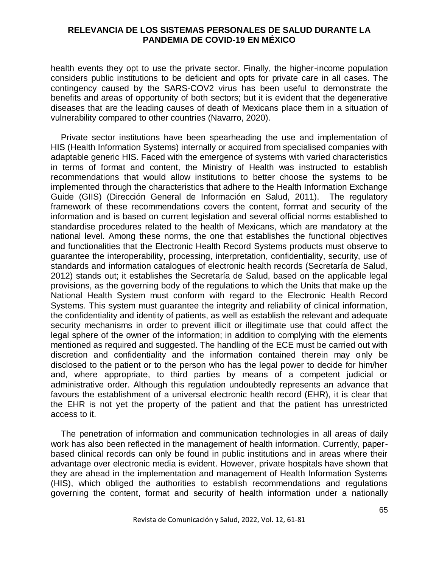health events they opt to use the private sector. Finally, the higher-income population considers public institutions to be deficient and opts for private care in all cases. The contingency caused by the SARS-COV2 virus has been useful to demonstrate the benefits and areas of opportunity of both sectors; but it is evident that the degenerative diseases that are the leading causes of death of Mexicans place them in a situation of vulnerability compared to other countries (Navarro, 2020).

Private sector institutions have been spearheading the use and implementation of HIS (Health Information Systems) internally or acquired from specialised companies with adaptable generic HIS. Faced with the emergence of systems with varied characteristics in terms of format and content, the Ministry of Health was instructed to establish recommendations that would allow institutions to better choose the systems to be implemented through the characteristics that adhere to the Health Information Exchange Guide (GIIS) (Dirección General de Información en Salud, 2011). The regulatory framework of these recommendations covers the content, format and security of the information and is based on current legislation and several official norms established to standardise procedures related to the health of Mexicans, which are mandatory at the national level. Among these norms, the one that establishes the functional objectives and functionalities that the Electronic Health Record Systems products must observe to guarantee the interoperability, processing, interpretation, confidentiality, security, use of standards and information catalogues of electronic health records (Secretaría de Salud, 2012) stands out; it establishes the Secretaría de Salud, based on the applicable legal provisions, as the governing body of the regulations to which the Units that make up the National Health System must conform with regard to the Electronic Health Record Systems. This system must guarantee the integrity and reliability of clinical information, the confidentiality and identity of patients, as well as establish the relevant and adequate security mechanisms in order to prevent illicit or illegitimate use that could affect the legal sphere of the owner of the information; in addition to complying with the elements mentioned as required and suggested. The handling of the ECE must be carried out with discretion and confidentiality and the information contained therein may only be disclosed to the patient or to the person who has the legal power to decide for him/her and, where appropriate, to third parties by means of a competent judicial or administrative order. Although this regulation undoubtedly represents an advance that favours the establishment of a universal electronic health record (EHR), it is clear that the EHR is not yet the property of the patient and that the patient has unrestricted access to it.

The penetration of information and communication technologies in all areas of daily work has also been reflected in the management of health information. Currently, paperbased clinical records can only be found in public institutions and in areas where their advantage over electronic media is evident. However, private hospitals have shown that they are ahead in the implementation and management of Health Information Systems (HIS), which obliged the authorities to establish recommendations and regulations governing the content, format and security of health information under a nationally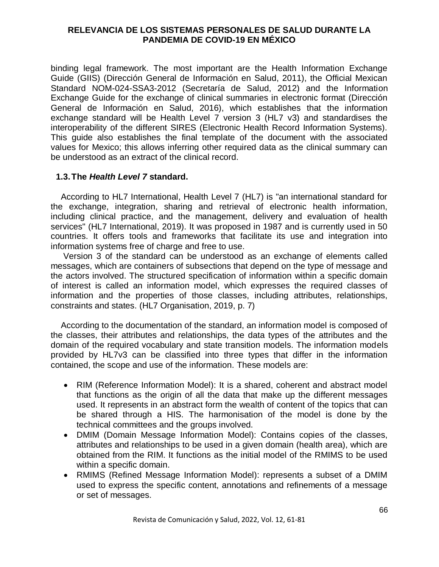binding legal framework. The most important are the Health Information Exchange Guide (GIIS) (Dirección General de Información en Salud, 2011), the Official Mexican Standard NOM-024-SSA3-2012 (Secretaría de Salud, 2012) and the Information Exchange Guide for the exchange of clinical summaries in electronic format (Dirección General de Información en Salud, 2016), which establishes that the information exchange standard will be Health Level 7 version 3 (HL7 v3) and standardises the interoperability of the different SIRES (Electronic Health Record Information Systems). This guide also establishes the final template of the document with the associated values for Mexico; this allows inferring other required data as the clinical summary can be understood as an extract of the clinical record.

# **1.3.The** *Health Level 7* **standard.**

According to HL7 International, Health Level 7 (HL7) is "an international standard for the exchange, integration, sharing and retrieval of electronic health information, including clinical practice, and the management, delivery and evaluation of health services" (HL7 International, 2019). It was proposed in 1987 and is currently used in 50 countries. It offers tools and frameworks that facilitate its use and integration into information systems free of charge and free to use.

Version 3 of the standard can be understood as an exchange of elements called messages, which are containers of subsections that depend on the type of message and the actors involved. The structured specification of information within a specific domain of interest is called an information model, which expresses the required classes of information and the properties of those classes, including attributes, relationships, constraints and states. (HL7 Organisation, 2019, p. 7)

According to the documentation of the standard, an information model is composed of the classes, their attributes and relationships, the data types of the attributes and the domain of the required vocabulary and state transition models. The information models provided by HL7v3 can be classified into three types that differ in the information contained, the scope and use of the information. These models are:

- RIM (Reference Information Model): It is a shared, coherent and abstract model that functions as the origin of all the data that make up the different messages used. It represents in an abstract form the wealth of content of the topics that can be shared through a HIS. The harmonisation of the model is done by the technical committees and the groups involved.
- DMIM (Domain Message Information Model): Contains copies of the classes, attributes and relationships to be used in a given domain (health area), which are obtained from the RIM. It functions as the initial model of the RMIMS to be used within a specific domain.
- RMIMS (Refined Message Information Model): represents a subset of a DMIM used to express the specific content, annotations and refinements of a message or set of messages.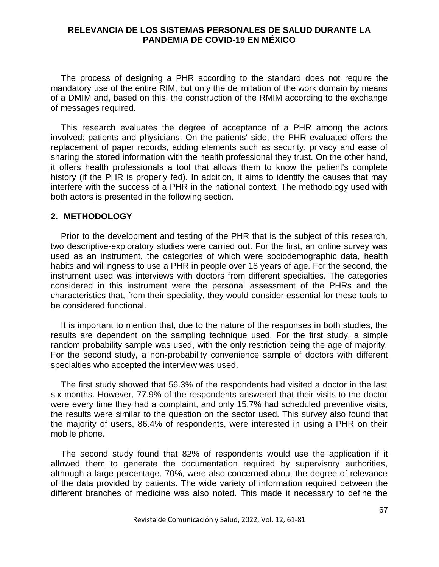The process of designing a PHR according to the standard does not require the mandatory use of the entire RIM, but only the delimitation of the work domain by means of a DMIM and, based on this, the construction of the RMIM according to the exchange of messages required.

This research evaluates the degree of acceptance of a PHR among the actors involved: patients and physicians. On the patients' side, the PHR evaluated offers the replacement of paper records, adding elements such as security, privacy and ease of sharing the stored information with the health professional they trust. On the other hand, it offers health professionals a tool that allows them to know the patient's complete history (if the PHR is properly fed). In addition, it aims to identify the causes that may interfere with the success of a PHR in the national context. The methodology used with both actors is presented in the following section.

#### **2. METHODOLOGY**

Prior to the development and testing of the PHR that is the subject of this research, two descriptive-exploratory studies were carried out. For the first, an online survey was used as an instrument, the categories of which were sociodemographic data, health habits and willingness to use a PHR in people over 18 years of age. For the second, the instrument used was interviews with doctors from different specialties. The categories considered in this instrument were the personal assessment of the PHRs and the characteristics that, from their speciality, they would consider essential for these tools to be considered functional.

It is important to mention that, due to the nature of the responses in both studies, the results are dependent on the sampling technique used. For the first study, a simple random probability sample was used, with the only restriction being the age of majority. For the second study, a non-probability convenience sample of doctors with different specialties who accepted the interview was used.

The first study showed that 56.3% of the respondents had visited a doctor in the last six months. However, 77.9% of the respondents answered that their visits to the doctor were every time they had a complaint, and only 15.7% had scheduled preventive visits, the results were similar to the question on the sector used. This survey also found that the majority of users, 86.4% of respondents, were interested in using a PHR on their mobile phone.

The second study found that 82% of respondents would use the application if it allowed them to generate the documentation required by supervisory authorities, although a large percentage, 70%, were also concerned about the degree of relevance of the data provided by patients. The wide variety of information required between the different branches of medicine was also noted. This made it necessary to define the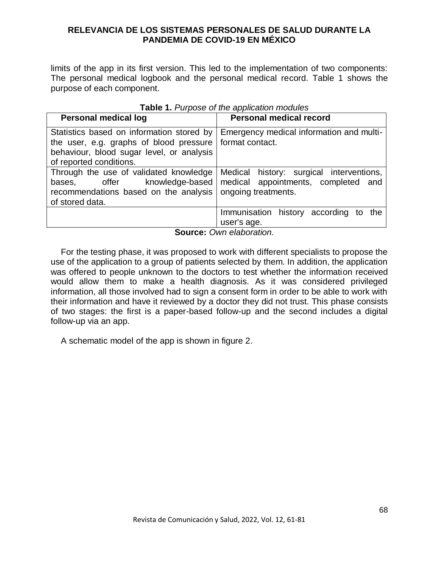limits of the app in its first version. This led to the implementation of two components: The personal medical logbook and the personal medical record. Table 1 shows the purpose of each component.

| <b>Personal medical log</b>                                                                                                                                  | <b>Personal medical record</b>                                                                         |
|--------------------------------------------------------------------------------------------------------------------------------------------------------------|--------------------------------------------------------------------------------------------------------|
| Statistics based on information stored by<br>the user, e.g. graphs of blood pressure<br>behaviour, blood sugar level, or analysis<br>of reported conditions. | Emergency medical information and multi-<br>format contact.                                            |
| Through the use of validated knowledge<br>bases, offer knowledge-based<br>recommendations based on the analysis<br>of stored data.                           | Medical history: surgical interventions,<br>medical appointments, completed and<br>ongoing treatments. |
|                                                                                                                                                              | Immunisation history according to<br>the<br>user's age.                                                |

**Table 1.** *Purpose of the application modules*

**Source:** *Own elaboration.*

For the testing phase, it was proposed to work with different specialists to propose the use of the application to a group of patients selected by them. In addition, the application was offered to people unknown to the doctors to test whether the information received would allow them to make a health diagnosis. As it was considered privileged information, all those involved had to sign a consent form in order to be able to work with their information and have it reviewed by a doctor they did not trust. This phase consists of two stages: the first is a paper-based follow-up and the second includes a digital follow-up via an app.

A schematic model of the app is shown in figure 2.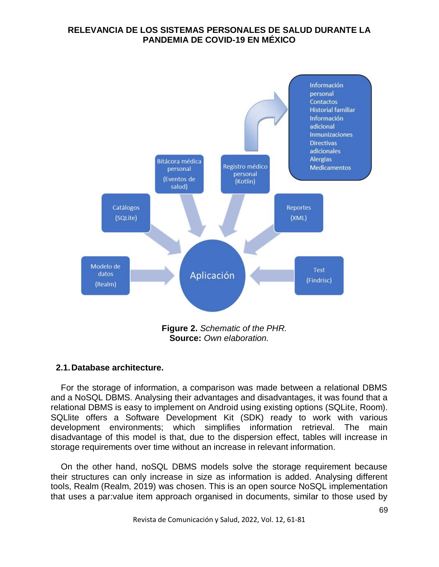

**Source:** *Own elaboration.*

# **2.1.Database architecture.**

For the storage of information, a comparison was made between a relational DBMS and a NoSQL DBMS. Analysing their advantages and disadvantages, it was found that a relational DBMS is easy to implement on Android using existing options (SQLite, Room). SQLlite offers a Software Development Kit (SDK) ready to work with various development environments; which simplifies information retrieval. The main disadvantage of this model is that, due to the dispersion effect, tables will increase in storage requirements over time without an increase in relevant information.

On the other hand, noSQL DBMS models solve the storage requirement because their structures can only increase in size as information is added. Analysing different tools, Realm (Realm, 2019) was chosen. This is an open source NoSQL implementation that uses a par:value item approach organised in documents, similar to those used by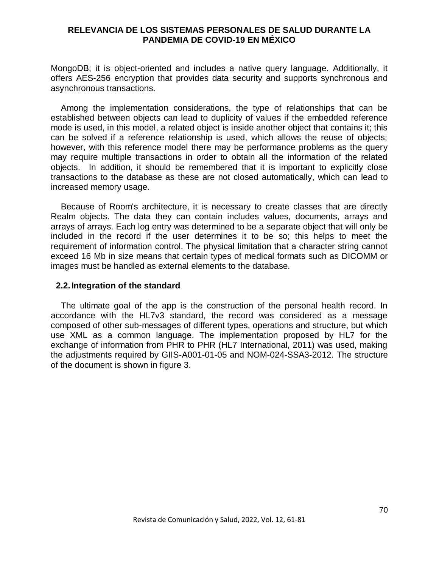MongoDB; it is object-oriented and includes a native query language. Additionally, it offers AES-256 encryption that provides data security and supports synchronous and asynchronous transactions.

Among the implementation considerations, the type of relationships that can be established between objects can lead to duplicity of values if the embedded reference mode is used, in this model, a related object is inside another object that contains it; this can be solved if a reference relationship is used, which allows the reuse of objects; however, with this reference model there may be performance problems as the query may require multiple transactions in order to obtain all the information of the related objects. In addition, it should be remembered that it is important to explicitly close transactions to the database as these are not closed automatically, which can lead to increased memory usage.

Because of Room's architecture, it is necessary to create classes that are directly Realm objects. The data they can contain includes values, documents, arrays and arrays of arrays. Each log entry was determined to be a separate object that will only be included in the record if the user determines it to be so; this helps to meet the requirement of information control. The physical limitation that a character string cannot exceed 16 Mb in size means that certain types of medical formats such as DICOMM or images must be handled as external elements to the database.

#### **2.2.Integration of the standard**

The ultimate goal of the app is the construction of the personal health record. In accordance with the HL7v3 standard, the record was considered as a message composed of other sub-messages of different types, operations and structure, but which use XML as a common language. The implementation proposed by HL7 for the exchange of information from PHR to PHR (HL7 International, 2011) was used, making the adjustments required by GIIS-A001-01-05 and NOM-024-SSA3-2012. The structure of the document is shown in figure 3.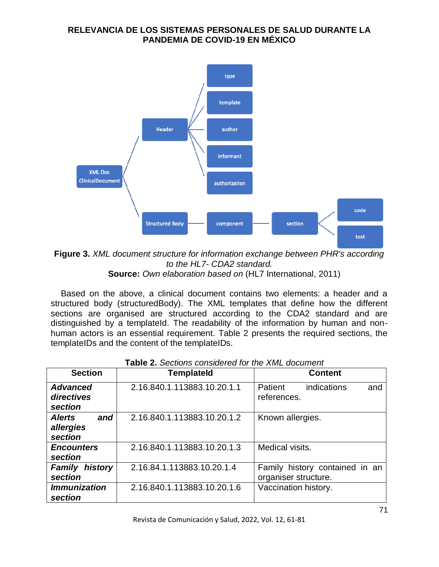

**Figure 3.** *XML document structure for information exchange between PHR's according to the HL7- CDA2 standard.* **Source:** *Own elaboration based on* (HL7 International, 2011)

Based on the above, a clinical document contains two elements: a header and a structured body (structuredBody). The XML templates that define how the different sections are organised are structured according to the CDA2 standard and are distinguished by a templateId. The readability of the information by human and nonhuman actors is an essential requirement. Table 2 presents the required sections, the templateIDs and the content of the templateIDs.

| <b>Section</b>                               | <b>Templateld</b>           | <b>Content</b>                                         |
|----------------------------------------------|-----------------------------|--------------------------------------------------------|
| <b>Advanced</b><br>directives<br>section     | 2.16.840.1.113883.10.20.1.1 | Patient<br>indications<br>and<br>references.           |
| <b>Alerts</b><br>and<br>allergies<br>section | 2.16.840.1.113883.10.20.1.2 | Known allergies.                                       |
| <b>Encounters</b><br>section                 | 2.16.840.1.113883.10.20.1.3 | Medical visits.                                        |
| <b>Family history</b><br>section             | 2.16.84.1.113883.10.20.1.4  | Family history contained in an<br>organiser structure. |
| <b>Immunization</b><br>section               | 2.16.840.1.113883.10.20.1.6 | Vaccination history.                                   |

| <b>Table 2.</b> Sections considered for the XML document |  |
|----------------------------------------------------------|--|
|----------------------------------------------------------|--|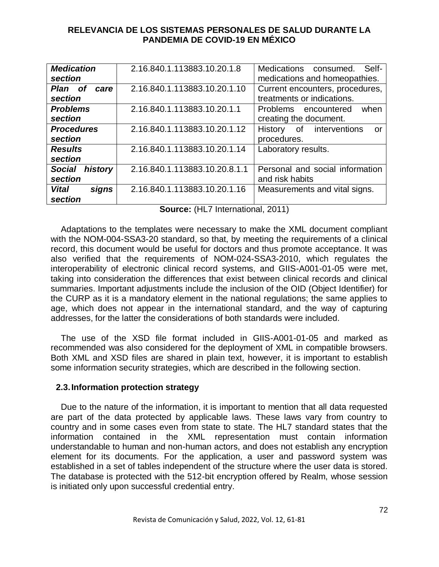| <b>Medication</b><br>section        | 2.16.840.1.113883.10.20.1.8   | Medications consumed.<br>Self-<br>medications and homeopathies. |
|-------------------------------------|-------------------------------|-----------------------------------------------------------------|
| Plan of<br>care<br>section          | 2.16.840.1.113883.10.20.1.10  | Current encounters, procedures,<br>treatments or indications.   |
| <b>Problems</b><br>section          | 2.16.840.1.113883.10.20.1.1   | Problems encountered<br>when<br>creating the document.          |
| <b>Procedures</b><br>section        | 2.16.840.1.113883.10.20.1.12  | of interventions<br>History<br>or<br>procedures.                |
| <b>Results</b><br>section           | 2.16.840.1.113883.10.20.1.14  | Laboratory results.                                             |
| history<br><b>Social</b><br>section | 2.16.840.1.113883.10.20.8.1.1 | Personal and social information<br>and risk habits              |
| <b>Vital</b><br>signs<br>section    | 2.16.840.1.113883.10.20.1.16  | Measurements and vital signs.                                   |

**Source:** (HL7 International, 2011)

Adaptations to the templates were necessary to make the XML document compliant with the NOM-004-SSA3-20 standard, so that, by meeting the requirements of a clinical record, this document would be useful for doctors and thus promote acceptance. It was also verified that the requirements of NOM-024-SSA3-2010, which regulates the interoperability of electronic clinical record systems, and GIIS-A001-01-05 were met, taking into consideration the differences that exist between clinical records and clinical summaries. Important adjustments include the inclusion of the OID (Object Identifier) for the CURP as it is a mandatory element in the national regulations; the same applies to age, which does not appear in the international standard, and the way of capturing addresses, for the latter the considerations of both standards were included.

The use of the XSD file format included in GIIS-A001-01-05 and marked as recommended was also considered for the deployment of XML in compatible browsers. Both XML and XSD files are shared in plain text, however, it is important to establish some information security strategies, which are described in the following section.

# **2.3.Information protection strategy**

Due to the nature of the information, it is important to mention that all data requested are part of the data protected by applicable laws. These laws vary from country to country and in some cases even from state to state. The HL7 standard states that the information contained in the XML representation must contain information understandable to human and non-human actors, and does not establish any encryption element for its documents. For the application, a user and password system was established in a set of tables independent of the structure where the user data is stored. The database is protected with the 512-bit encryption offered by Realm, whose session is initiated only upon successful credential entry.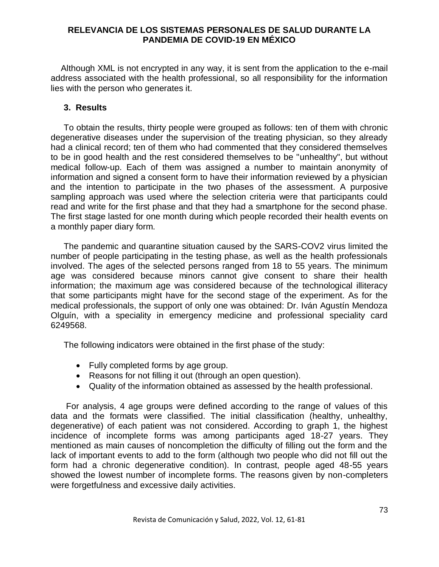Although XML is not encrypted in any way, it is sent from the application to the e-mail address associated with the health professional, so all responsibility for the information lies with the person who generates it.

# **3. Results**

To obtain the results, thirty people were grouped as follows: ten of them with chronic degenerative diseases under the supervision of the treating physician, so they already had a clinical record; ten of them who had commented that they considered themselves to be in good health and the rest considered themselves to be "unhealthy", but without medical follow-up. Each of them was assigned a number to maintain anonymity of information and signed a consent form to have their information reviewed by a physician and the intention to participate in the two phases of the assessment. A purposive sampling approach was used where the selection criteria were that participants could read and write for the first phase and that they had a smartphone for the second phase. The first stage lasted for one month during which people recorded their health events on a monthly paper diary form.

The pandemic and quarantine situation caused by the SARS-COV2 virus limited the number of people participating in the testing phase, as well as the health professionals involved. The ages of the selected persons ranged from 18 to 55 years. The minimum age was considered because minors cannot give consent to share their health information; the maximum age was considered because of the technological illiteracy that some participants might have for the second stage of the experiment. As for the medical professionals, the support of only one was obtained: Dr. Iván Agustín Mendoza Olguín, with a speciality in emergency medicine and professional speciality card 6249568.

The following indicators were obtained in the first phase of the study:

- Fully completed forms by age group.
- Reasons for not filling it out (through an open question).
- Quality of the information obtained as assessed by the health professional.

For analysis, 4 age groups were defined according to the range of values of this data and the formats were classified. The initial classification (healthy, unhealthy, degenerative) of each patient was not considered. According to graph 1, the highest incidence of incomplete forms was among participants aged 18-27 years. They mentioned as main causes of noncompletion the difficulty of filling out the form and the lack of important events to add to the form (although two people who did not fill out the form had a chronic degenerative condition). In contrast, people aged 48-55 years showed the lowest number of incomplete forms. The reasons given by non-completers were forgetfulness and excessive daily activities.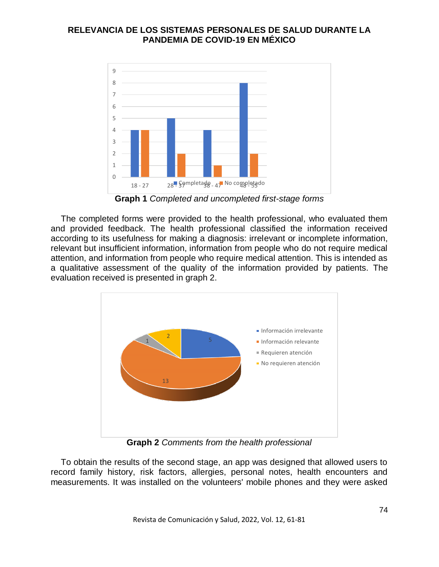

**Graph 1** *Completed and uncompleted first-stage forms*

The completed forms were provided to the health professional, who evaluated them and provided feedback. The health professional classified the information received according to its usefulness for making a diagnosis: irrelevant or incomplete information, relevant but insufficient information, information from people who do not require medical attention, and information from people who require medical attention. This is intended as a qualitative assessment of the quality of the information provided by patients. The evaluation received is presented in graph 2.



**Graph 2** *Comments from the health professional*

To obtain the results of the second stage, an app was designed that allowed users to record family history, risk factors, allergies, personal notes, health encounters and measurements. It was installed on the volunteers' mobile phones and they were asked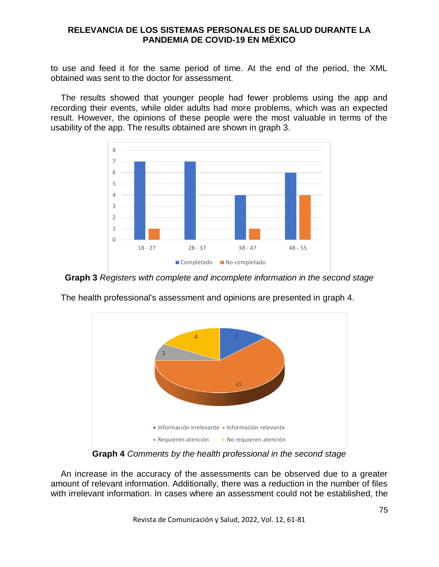to use and feed it for the same period of time. At the end of the period, the XML obtained was sent to the doctor for assessment.

The results showed that younger people had fewer problems using the app and recording their events, while older adults had more problems, which was an expected result. However, the opinions of these people were the most valuable in terms of the usability of the app. The results obtained are shown in graph 3.



**Graph 3** *Registers with complete and incomplete information in the second stage*



The health professional's assessment and opinions are presented in graph 4.

**Graph 4** *Comments by the health professional in the second stage*

An increase in the accuracy of the assessments can be observed due to a greater amount of relevant information. Additionally, there was a reduction in the number of files with irrelevant information. In cases where an assessment could not be established, the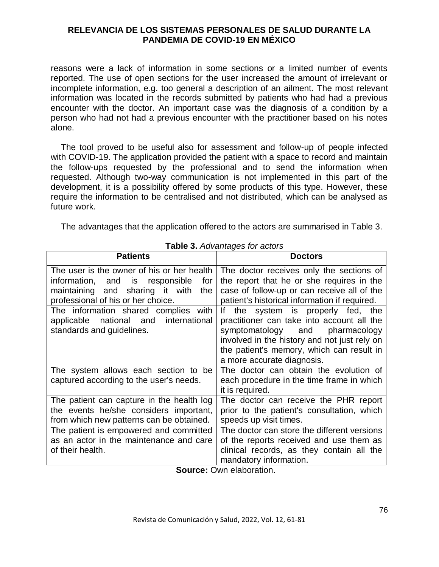reasons were a lack of information in some sections or a limited number of events reported. The use of open sections for the user increased the amount of irrelevant or incomplete information, e.g. too general a description of an ailment. The most relevant information was located in the records submitted by patients who had had a previous encounter with the doctor. An important case was the diagnosis of a condition by a person who had not had a previous encounter with the practitioner based on his notes alone.

The tool proved to be useful also for assessment and follow-up of people infected with COVID-19. The application provided the patient with a space to record and maintain the follow-ups requested by the professional and to send the information when requested. Although two-way communication is not implemented in this part of the development, it is a possibility offered by some products of this type. However, these require the information to be centralised and not distributed, which can be analysed as future work.

The advantages that the application offered to the actors are summarised in Table 3.

| <b>Patients</b>                                                                                                                                                      | <b>Doctors</b>                                                                                                                                                                                                                                    |
|----------------------------------------------------------------------------------------------------------------------------------------------------------------------|---------------------------------------------------------------------------------------------------------------------------------------------------------------------------------------------------------------------------------------------------|
| The user is the owner of his or her health<br>information, and is responsible<br>for<br>maintaining and sharing it with<br>the<br>professional of his or her choice. | The doctor receives only the sections of<br>the report that he or she requires in the<br>case of follow-up or can receive all of the<br>patient's historical information if required.                                                             |
| The information shared complies with<br>applicable national and international<br>standards and guidelines.                                                           | If the system is properly fed, the<br>practitioner can take into account all the<br>symptomatology and<br>pharmacology<br>involved in the history and not just rely on<br>the patient's memory, which can result in<br>a more accurate diagnosis. |
| The system allows each section to be<br>captured according to the user's needs.                                                                                      | The doctor can obtain the evolution of<br>each procedure in the time frame in which<br>it is required.                                                                                                                                            |
| The patient can capture in the health log<br>the events he/she considers important,<br>from which new patterns can be obtained.                                      | The doctor can receive the PHR report<br>prior to the patient's consultation, which<br>speeds up visit times.                                                                                                                                     |
| The patient is empowered and committed<br>as an actor in the maintenance and care<br>of their health.                                                                | The doctor can store the different versions<br>of the reports received and use them as<br>clinical records, as they contain all the<br>mandatory information.                                                                                     |

**Table 3.** *Advantages for actors*

**Source:** Own elaboration.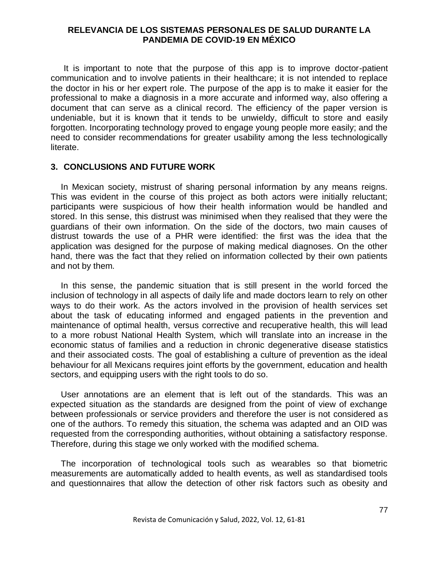It is important to note that the purpose of this app is to improve doctor-patient communication and to involve patients in their healthcare; it is not intended to replace the doctor in his or her expert role. The purpose of the app is to make it easier for the professional to make a diagnosis in a more accurate and informed way, also offering a document that can serve as a clinical record. The efficiency of the paper version is undeniable, but it is known that it tends to be unwieldy, difficult to store and easily forgotten. Incorporating technology proved to engage young people more easily; and the need to consider recommendations for greater usability among the less technologically literate.

#### **3. CONCLUSIONS AND FUTURE WORK**

In Mexican society, mistrust of sharing personal information by any means reigns. This was evident in the course of this project as both actors were initially reluctant; participants were suspicious of how their health information would be handled and stored. In this sense, this distrust was minimised when they realised that they were the guardians of their own information. On the side of the doctors, two main causes of distrust towards the use of a PHR were identified: the first was the idea that the application was designed for the purpose of making medical diagnoses. On the other hand, there was the fact that they relied on information collected by their own patients and not by them.

In this sense, the pandemic situation that is still present in the world forced the inclusion of technology in all aspects of daily life and made doctors learn to rely on other ways to do their work. As the actors involved in the provision of health services set about the task of educating informed and engaged patients in the prevention and maintenance of optimal health, versus corrective and recuperative health, this will lead to a more robust National Health System, which will translate into an increase in the economic status of families and a reduction in chronic degenerative disease statistics and their associated costs. The goal of establishing a culture of prevention as the ideal behaviour for all Mexicans requires joint efforts by the government, education and health sectors, and equipping users with the right tools to do so.

User annotations are an element that is left out of the standards. This was an expected situation as the standards are designed from the point of view of exchange between professionals or service providers and therefore the user is not considered as one of the authors. To remedy this situation, the schema was adapted and an OID was requested from the corresponding authorities, without obtaining a satisfactory response. Therefore, during this stage we only worked with the modified schema.

The incorporation of technological tools such as wearables so that biometric measurements are automatically added to health events, as well as standardised tools and questionnaires that allow the detection of other risk factors such as obesity and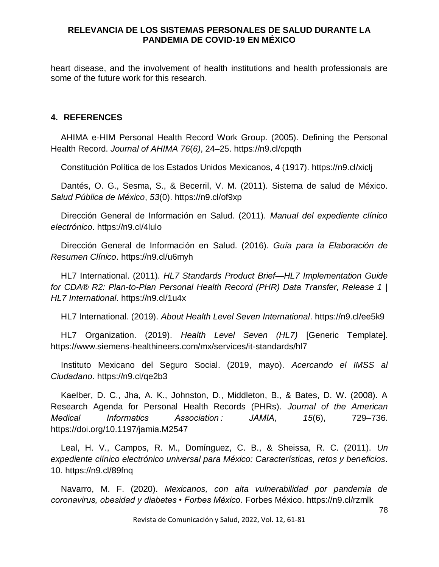heart disease, and the involvement of health institutions and health professionals are some of the future work for this research.

# **4. REFERENCES**

AHIMA e-HIM Personal Health Record Work Group. (2005). Defining the Personal Health Record. *Journal of AHIMA 76*(*6)*, 24–25. https://n9.cl/cpqth

Constitución Política de los Estados Unidos Mexicanos, 4 (1917). https://n9.cl/xiclj

Dantés, O. G., Sesma, S., & Becerril, V. M. (2011). Sistema de salud de México. *Salud Pública de México*, *53*(0). https://n9.cl/of9xp

Dirección General de Información en Salud. (2011). *Manual del expediente clínico electrónico*. https://n9.cl/4lulo

Dirección General de Información en Salud. (2016). *Guía para la Elaboración de Resumen Clínico*. https://n9.cl/u6myh

HL7 International. (2011). *HL7 Standards Product Brief—HL7 Implementation Guide for CDA® R2: Plan-to-Plan Personal Health Record (PHR) Data Transfer, Release 1 | HL7 International*. https://n9.cl/1u4x

HL7 International. (2019). *About Health Level Seven International*. https://n9.cl/ee5k9

HL7 Organization. (2019). *Health Level Seven (HL7)* [Generic Template]. https://www.siemens-healthineers.com/mx/services/it-standards/hl7

Instituto Mexicano del Seguro Social. (2019, mayo). *Acercando el IMSS al Ciudadano*. https://n9.cl/qe2b3

Kaelber, D. C., Jha, A. K., Johnston, D., Middleton, B., & Bates, D. W. (2008). A Research Agenda for Personal Health Records (PHRs). *Journal of the American Medical Informatics Association : JAMIA*, *15*(6), 729–736. https://doi.org/10.1197/jamia.M2547

Leal, H. V., Campos, R. M., Domínguez, C. B., & Sheissa, R. C. (2011). *Un expediente clínico electrónico universal para México: Características, retos y beneficios*. 10. https://n9.cl/89fnq

Navarro, M. F. (2020). *Mexicanos, con alta vulnerabilidad por pandemia de coronavirus, obesidad y diabetes • Forbes México*. Forbes México. https://n9.cl/rzmlk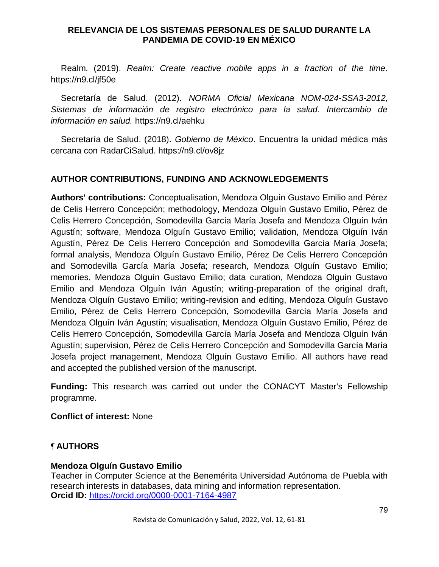Realm. (2019). *Realm: Create reactive mobile apps in a fraction of the time*. https://n9.cl/jf50e

Secretaría de Salud. (2012). *NORMA Oficial Mexicana NOM-024-SSA3-2012, Sistemas de información de registro electrónico para la salud. Intercambio de información en salud.* https://n9.cl/aehku

Secretaría de Salud. (2018). *Gobierno de México*. Encuentra la unidad médica más cercana con RadarCiSalud. https://n9.cl/ov8jz

# **AUTHOR CONTRIBUTIONS, FUNDING AND ACKNOWLEDGEMENTS**

**Authors' contributions:** Conceptualisation, Mendoza Olguín Gustavo Emilio and Pérez de Celis Herrero Concepción; methodology, Mendoza Olguín Gustavo Emilio, Pérez de Celis Herrero Concepción, Somodevilla García María Josefa and Mendoza Olguín Iván Agustín; software, Mendoza Olguín Gustavo Emilio; validation, Mendoza Olguín Iván Agustín, Pérez De Celis Herrero Concepción and Somodevilla García María Josefa; formal analysis, Mendoza Olguín Gustavo Emilio, Pérez De Celis Herrero Concepción and Somodevilla García María Josefa; research, Mendoza Olguín Gustavo Emilio; memories, Mendoza Olguín Gustavo Emilio; data curation, Mendoza Olguín Gustavo Emilio and Mendoza Olguín Iván Agustín; writing-preparation of the original draft, Mendoza Olguín Gustavo Emilio; writing-revision and editing, Mendoza Olguín Gustavo Emilio, Pérez de Celis Herrero Concepción, Somodevilla García María Josefa and Mendoza Olguín Iván Agustín; visualisation, Mendoza Olguín Gustavo Emilio, Pérez de Celis Herrero Concepción, Somodevilla García María Josefa and Mendoza Olguín Iván Agustín; supervision, Pérez de Celis Herrero Concepción and Somodevilla García María Josefa project management, Mendoza Olguín Gustavo Emilio. All authors have read and accepted the published version of the manuscript.

**Funding:** This research was carried out under the CONACYT Master's Fellowship programme.

**Conflict of interest:** None

# ¶ **AUTHORS**

# **Mendoza Olguín Gustavo Emilio**

Teacher in Computer Science at the Benemérita Universidad Autónoma de Puebla with research interests in databases, data mining and information representation. **Orcid ID:** <https://orcid.org/0000-0001-7164-4987>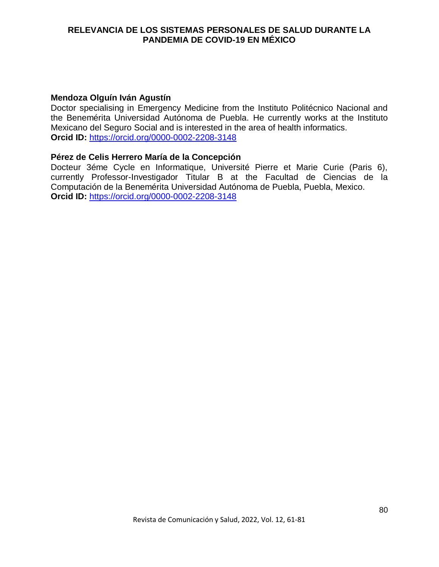## **Mendoza Olguín Iván Agustín**

Doctor specialising in Emergency Medicine from the Instituto Politécnico Nacional and the Benemérita Universidad Autónoma de Puebla. He currently works at the Instituto Mexicano del Seguro Social and is interested in the area of health informatics. **Orcid ID:** <https://orcid.org/0000-0002-2208-3148>

### **Pérez de Celis Herrero María de la Concepción**

Docteur 3éme Cycle en Informatique, Université Pierre et Marie Curie (Paris 6), currently Professor-Investigador Titular B at the Facultad de Ciencias de la Computación de la Benemérita Universidad Autónoma de Puebla, Puebla, Mexico. **Orcid ID:** <https://orcid.org/0000-0002-2208-3148>